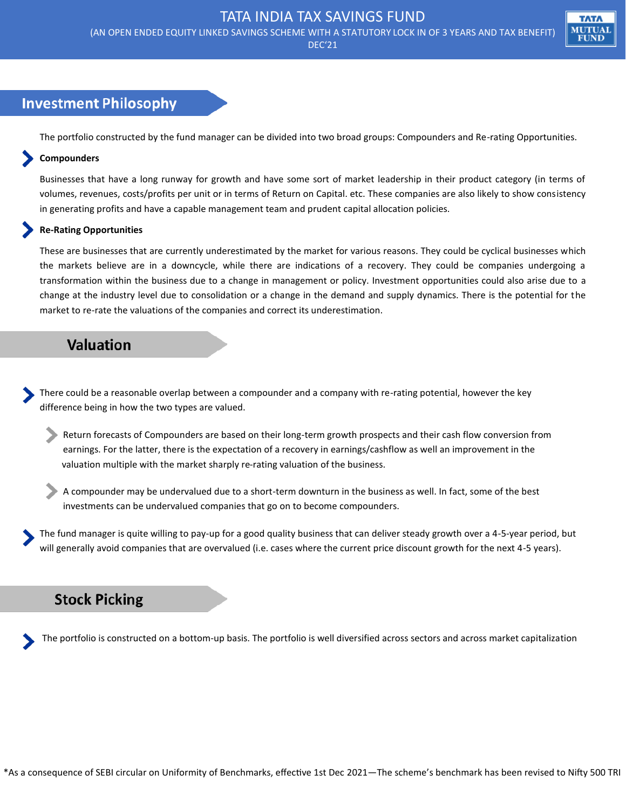(AN OPEN ENDED EQUITY LINKED SAVINGS SCHEME WITH A STATUTORY LOCK IN OF 3 YEARS AND TAX BENEFIT)

MUTUAI **FUND** 

DEC'21

## **Investment Philosophy**

The portfolio constructed by the fund manager can be divided into two broad groups: Compounders and Re-rating Opportunities.

#### **Compounders**

Businesses that have a long runway for growth and have some sort of market leadership in their product category (in terms of volumes, revenues, costs/profits per unit or in terms of Return on Capital. etc. These companies are also likely to show consistency in generating profits and have a capable management team and prudent capital allocation policies.

#### **Re-Rating Opportunities**

These are businesses that are currently underestimated by the market for various reasons. They could be cyclical businesses which the markets believe are in a downcycle, while there are indications of a recovery. They could be companies undergoing a transformation within the business due to a change in management or policy. Investment opportunities could also arise due to a change at the industry level due to consolidation or a change in the demand and supply dynamics. There is the potential for the market to re-rate the valuations of the companies and correct its underestimation.

## **Valuation**

There could be a reasonable overlap between a compounder and a company with re-rating potential, however the key difference being in how the two types are valued.

- Return forecasts of Compounders are based on their long-term growth prospects and their cash flow conversion from earnings. For the latter, there is the expectation of a recovery in earnings/cashflow as well an improvement in the valuation multiple with the market sharply re-rating valuation of the business.
- A compounder may be undervalued due to a short-term downturn in the business as well. In fact, some of the best investments can be undervalued companies that go on to become compounders.

The fund manager is quite willing to pay-up for a good quality business that can deliver steady growth over a 4-5-year period, but will generally avoid companies that are overvalued (i.e. cases where the current price discount growth for the next 4-5 years).

### **Stock Picking**

The portfolio is constructed on a bottom-up basis. The portfolio is well diversified across sectors and across market capitalization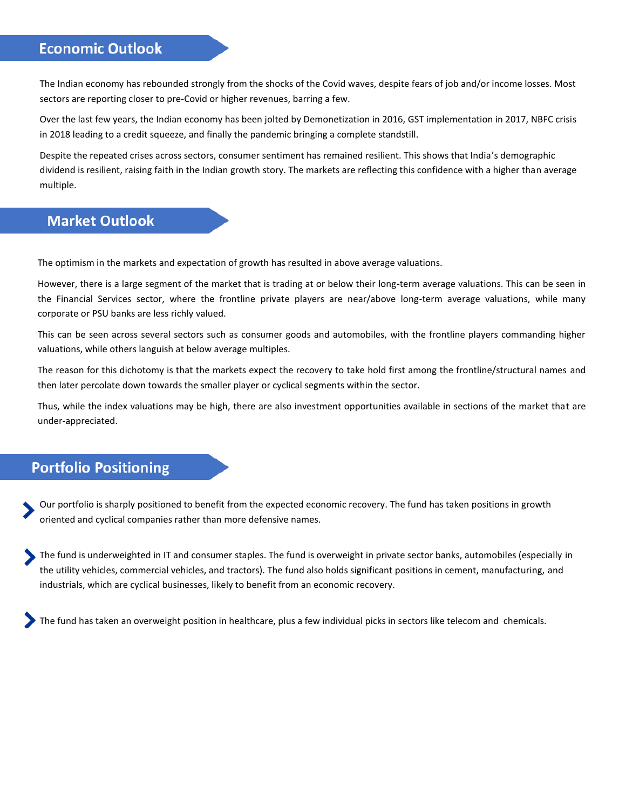## **Economic Outlook**

The Indian economy has rebounded strongly from the shocks of the Covid waves, despite fears of job and/or income losses. Most sectors are reporting closer to pre-Covid or higher revenues, barring a few.

Over the last few years, the Indian economy has been jolted by Demonetization in 2016, GST implementation in 2017, NBFC crisis in 2018 leading to a credit squeeze, and finally the pandemic bringing a complete standstill.

Despite the repeated crises across sectors, consumer sentiment has remained resilient. This shows that India's demographic dividend is resilient, raising faith in the Indian growth story. The markets are reflecting this confidence with a higher than average multiple.

## **Market Outlook**

The optimism in the markets and expectation of growth has resulted in above average valuations.

However, there is a large segment of the market that is trading at or below their long-term average valuations. This can be seen in the Financial Services sector, where the frontline private players are near/above long-term average valuations, while many corporate or PSU banks are less richly valued.

This can be seen across several sectors such as consumer goods and automobiles, with the frontline players commanding higher valuations, while others languish at below average multiples.

The reason for this dichotomy is that the markets expect the recovery to take hold first among the frontline/structural names and then later percolate down towards the smaller player or cyclical segments within the sector.

Thus, while the index valuations may be high, there are also investment opportunities available in sections of the market that are under-appreciated.

### **Portfolio Positioning**

Our portfolio is sharply positioned to benefit from the expected economic recovery. The fund has taken positions in growth oriented and cyclical companies rather than more defensive names.

The fund is underweighted in IT and consumer staples. The fund is overweight in private sector banks, automobiles (especially in the utility vehicles, commercial vehicles, and tractors). The fund also holds significant positions in cement, manufacturing, and industrials, which are cyclical businesses, likely to benefit from an economic recovery.

The fund has taken an overweight position in healthcare, plus a few individual picks in sectors like telecom and chemicals.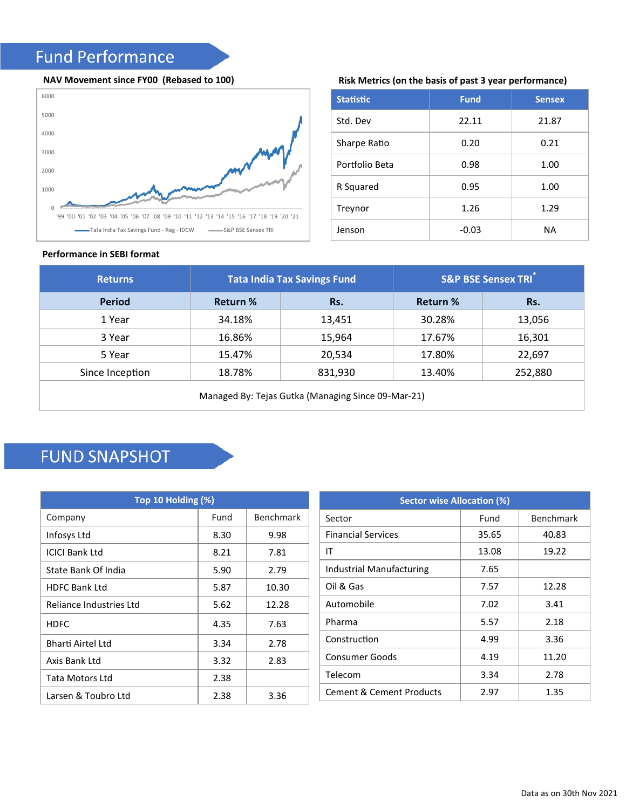# **Fund Performance**

#### **NAV Movement since FY00 (Rebased to 100)**



#### **Risk Metrics (on the basis of past 3 year performance)**

| <b>Statistic</b> | <b>Fund</b> | <b>Sensex</b> |
|------------------|-------------|---------------|
| Std. Dev         | 22.11       | 21.87         |
| Sharpe Ratio     | 0.20        | 0.21          |
| Portfolio Beta   | 0.98        | 1.00          |
| R Squared        | 0.95        | 1.00          |
| Treynor          | 1.26        | 1.29          |
| Jenson           | $-0.03$     | ΝA            |

#### **Performance in SEBI format**

| <b>Returns</b>                                     | <b>Tata India Tax Savings Fund</b> |         | <b>S&amp;P BSE Sensex TRI</b> |         |
|----------------------------------------------------|------------------------------------|---------|-------------------------------|---------|
| <b>Period</b>                                      | <b>Return %</b>                    | Rs.     | <b>Return %</b>               | Rs.     |
| 1 Year                                             | 34.18%                             | 13,451  | 30.28%                        | 13,056  |
| 3 Year                                             | 16.86%                             | 15,964  | 17.67%                        | 16,301  |
| 5 Year                                             | 15.47%                             | 20,534  | 17.80%                        | 22,697  |
| Since Inception                                    | 18.78%                             | 831,930 | 13.40%                        | 252,880 |
| Managed By: Tejas Gutka (Managing Since 09-Mar-21) |                                    |         |                               |         |

# **FUND SNAPSHOT**

| Top 10 Holding (%)      |      |           |  |
|-------------------------|------|-----------|--|
| Company                 | Fund | Benchmark |  |
| Infosys Ltd             | 8.30 | 9.98      |  |
| ICICI Bank Ltd          | 8.21 | 7.81      |  |
| State Bank Of India     | 5.90 | 2.79      |  |
| <b>HDFC Bank Ltd</b>    | 5.87 | 10.30     |  |
| Reliance Industries Ltd | 5.62 | 12.28     |  |
| <b>HDFC</b>             | 4.35 | 7.63      |  |
| Bharti Airtel Ltd       | 3.34 | 2.78      |  |
| Axis Bank Ltd           | 3.32 | 2.83      |  |
| Tata Motors Ltd         | 2.38 |           |  |
| Larsen & Toubro Ltd     | 2.38 | 3.36      |  |

| <b>Sector wise Allocation (%)</b>   |       |                  |  |
|-------------------------------------|-------|------------------|--|
| Sector                              | Fund  | <b>Benchmark</b> |  |
| <b>Financial Services</b>           | 35.65 | 40.83            |  |
| ΙT                                  | 13.08 | 19.22            |  |
| Industrial Manufacturing            | 7.65  |                  |  |
| Oil & Gas                           | 7.57  | 12.28            |  |
| Automobile                          | 7.02  | 3.41             |  |
| Pharma                              | 5.57  | 2.18             |  |
| Construction                        | 4.99  | 3.36             |  |
| Consumer Goods                      | 4.19  | 11.20            |  |
| Telecom                             | 3.34  | 2.78             |  |
| <b>Cement &amp; Cement Products</b> | 2.97  | 1.35             |  |